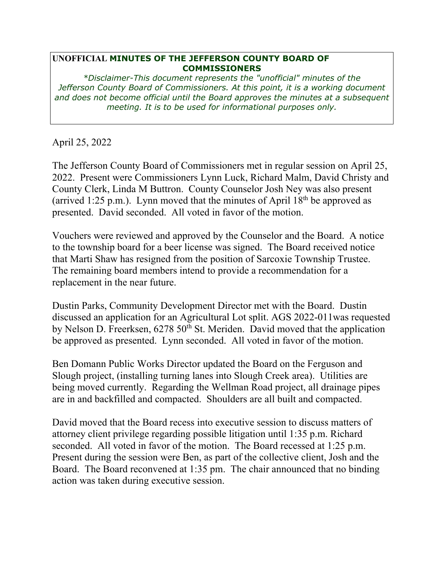## **UNOFFICIAL MINUTES OF THE JEFFERSON COUNTY BOARD OF COMMISSIONERS**

*\*Disclaimer-This document represents the "unofficial" minutes of the Jefferson County Board of Commissioners. At this point, it is a working document and does not become official until the Board approves the minutes at a subsequent meeting. It is to be used for informational purposes only.* 

April 25, 2022

The Jefferson County Board of Commissioners met in regular session on April 25, 2022. Present were Commissioners Lynn Luck, Richard Malm, David Christy and County Clerk, Linda M Buttron. County Counselor Josh Ney was also present (arrived 1:25 p.m.). Lynn moved that the minutes of April  $18<sup>th</sup>$  be approved as presented. David seconded. All voted in favor of the motion.

Vouchers were reviewed and approved by the Counselor and the Board. A notice to the township board for a beer license was signed. The Board received notice that Marti Shaw has resigned from the position of Sarcoxie Township Trustee. The remaining board members intend to provide a recommendation for a replacement in the near future.

Dustin Parks, Community Development Director met with the Board. Dustin discussed an application for an Agricultural Lot split. AGS 2022-011was requested by Nelson D. Freerksen,  $6278\,50^{th}$  St. Meriden. David moved that the application be approved as presented. Lynn seconded. All voted in favor of the motion.

Ben Domann Public Works Director updated the Board on the Ferguson and Slough project, (installing turning lanes into Slough Creek area). Utilities are being moved currently. Regarding the Wellman Road project, all drainage pipes are in and backfilled and compacted. Shoulders are all built and compacted.

David moved that the Board recess into executive session to discuss matters of attorney client privilege regarding possible litigation until 1:35 p.m. Richard seconded. All voted in favor of the motion. The Board recessed at 1:25 p.m. Present during the session were Ben, as part of the collective client, Josh and the Board. The Board reconvened at 1:35 pm. The chair announced that no binding action was taken during executive session.